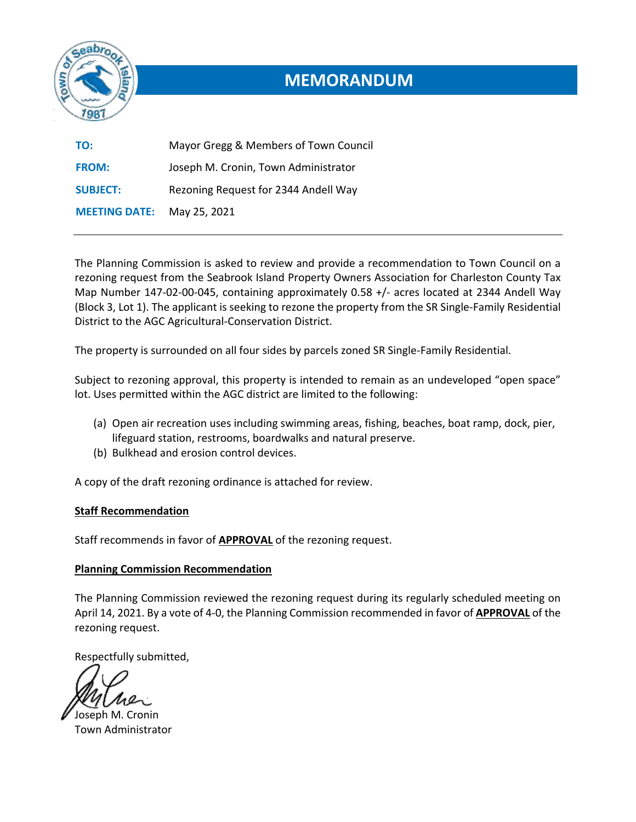

# **MEMORANDUM**

| TO:                  | Mayor Gregg & Members of Town Council |
|----------------------|---------------------------------------|
| <b>FROM:</b>         | Joseph M. Cronin, Town Administrator  |
| <b>SUBJECT:</b>      | Rezoning Request for 2344 Andell Way  |
| <b>MEETING DATE:</b> | May 25, 2021                          |

The Planning Commission is asked to review and provide a recommendation to Town Council on a rezoning request from the Seabrook Island Property Owners Association for Charleston County Tax Map Number 147-02-00-045, containing approximately 0.58 +/- acres located at 2344 Andell Way (Block 3, Lot 1). The applicant is seeking to rezone the property from the SR Single-Family Residential District to the AGC Agricultural-Conservation District.

The property is surrounded on all four sides by parcels zoned SR Single-Family Residential.

Subject to rezoning approval, this property is intended to remain as an undeveloped "open space" lot. Uses permitted within the AGC district are limited to the following:

- (a) Open air recreation uses including swimming areas, fishing, beaches, boat ramp, dock, pier, lifeguard station, restrooms, boardwalks and natural preserve.
- (b) Bulkhead and erosion control devices.

A copy of the draft rezoning ordinance is attached for review.

#### **Staff Recommendation**

Staff recommends in favor of **APPROVAL** of the rezoning request.

#### **Planning Commission Recommendation**

The Planning Commission reviewed the rezoning request during its regularly scheduled meeting on April 14, 2021. By a vote of 4-0, the Planning Commission recommended in favor of **APPROVAL** of the rezoning request.

Respectfully submitted,

Joseph M. Cronin Town Administrator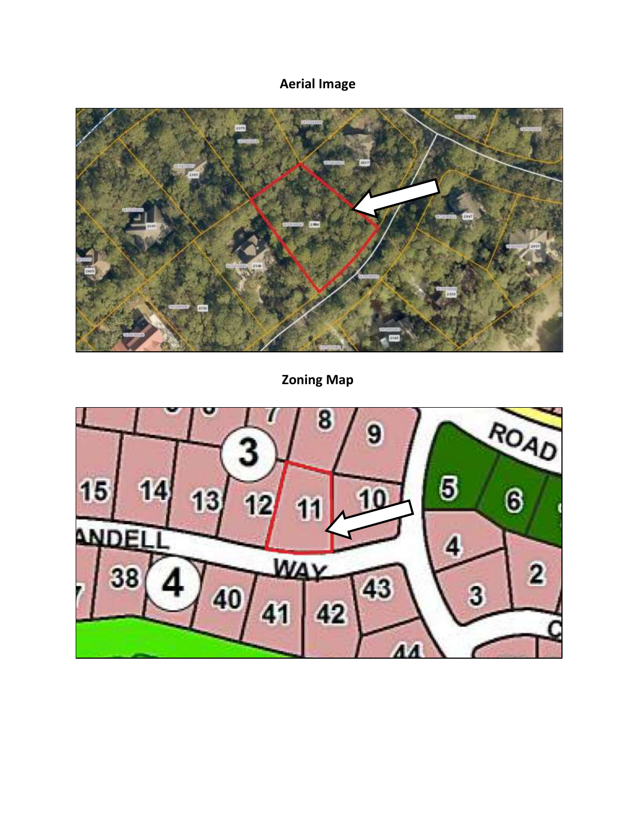## **Aerial Image**



**Zoning Map**

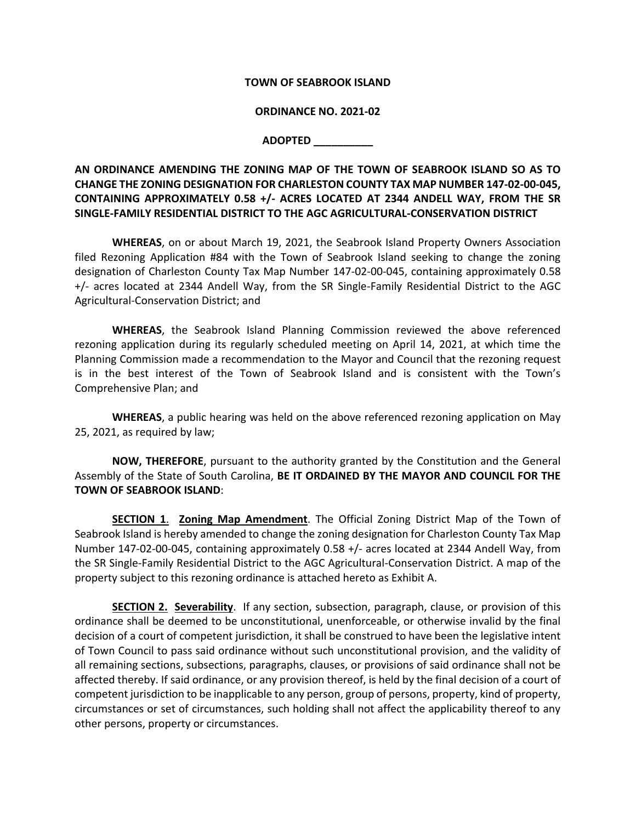#### **TOWN OF SEABROOK ISLAND**

#### **ORDINANCE NO. 2021-02**

#### **ADOPTED \_\_\_\_\_\_\_\_\_\_**

**AN ORDINANCE AMENDING THE ZONING MAP OF THE TOWN OF SEABROOK ISLAND SO AS TO CHANGE THE ZONING DESIGNATION FOR CHARLESTON COUNTY TAX MAP NUMBER 147-02-00-045, CONTAINING APPROXIMATELY 0.58 +/- ACRES LOCATED AT 2344 ANDELL WAY, FROM THE SR SINGLE-FAMILY RESIDENTIAL DISTRICT TO THE AGC AGRICULTURAL-CONSERVATION DISTRICT**

**WHEREAS**, on or about March 19, 2021, the Seabrook Island Property Owners Association filed Rezoning Application #84 with the Town of Seabrook Island seeking to change the zoning designation of Charleston County Tax Map Number 147-02-00-045, containing approximately 0.58 +/- acres located at 2344 Andell Way, from the SR Single-Family Residential District to the AGC Agricultural-Conservation District; and

**WHEREAS**, the Seabrook Island Planning Commission reviewed the above referenced rezoning application during its regularly scheduled meeting on April 14, 2021, at which time the Planning Commission made a recommendation to the Mayor and Council that the rezoning request is in the best interest of the Town of Seabrook Island and is consistent with the Town's Comprehensive Plan; and

**WHEREAS**, a public hearing was held on the above referenced rezoning application on May 25, 2021, as required by law;

**NOW, THEREFORE**, pursuant to the authority granted by the Constitution and the General Assembly of the State of South Carolina, **BE IT ORDAINED BY THE MAYOR AND COUNCIL FOR THE TOWN OF SEABROOK ISLAND**:

**SECTION 1**. **Zoning Map Amendment**. The Official Zoning District Map of the Town of Seabrook Island is hereby amended to change the zoning designation for Charleston County Tax Map Number 147-02-00-045, containing approximately 0.58 +/- acres located at 2344 Andell Way, from the SR Single-Family Residential District to the AGC Agricultural-Conservation District. A map of the property subject to this rezoning ordinance is attached hereto as Exhibit A.

**SECTION 2. Severability**. If any section, subsection, paragraph, clause, or provision of this ordinance shall be deemed to be unconstitutional, unenforceable, or otherwise invalid by the final decision of a court of competent jurisdiction, it shall be construed to have been the legislative intent of Town Council to pass said ordinance without such unconstitutional provision, and the validity of all remaining sections, subsections, paragraphs, clauses, or provisions of said ordinance shall not be affected thereby. If said ordinance, or any provision thereof, is held by the final decision of a court of competent jurisdiction to be inapplicable to any person, group of persons, property, kind of property, circumstances or set of circumstances, such holding shall not affect the applicability thereof to any other persons, property or circumstances.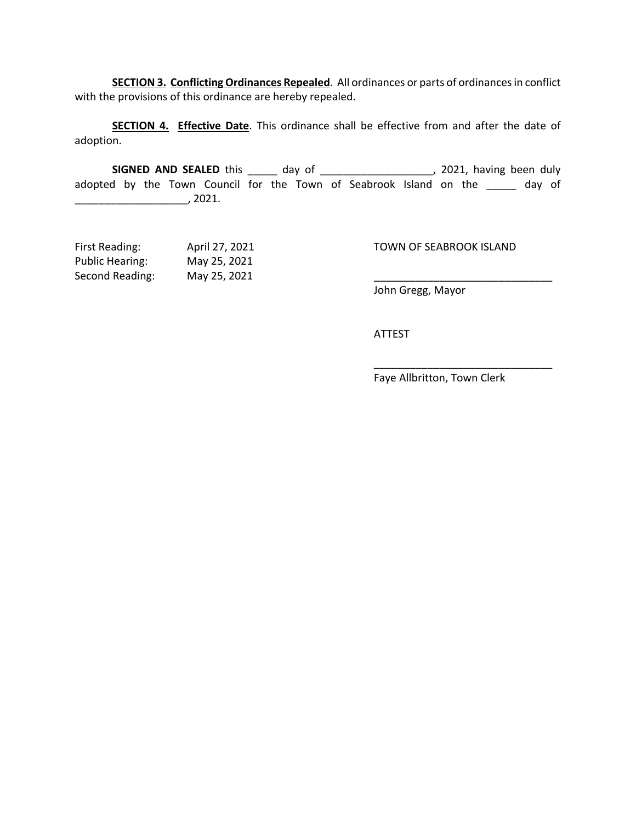**SECTION 3. Conflicting Ordinances Repealed**. All ordinances or parts of ordinances in conflict with the provisions of this ordinance are hereby repealed.

**SECTION 4. Effective Date**. This ordinance shall be effective from and after the date of adoption.

**SIGNED AND SEALED** this \_\_\_\_\_\_ day of \_\_\_\_\_\_\_\_\_\_\_\_\_\_\_\_\_\_\_\_\_, 2021, having been duly adopted by the Town Council for the Town of Seabrook Island on the \_\_\_\_\_ day of \_\_\_\_\_\_\_\_\_\_\_\_\_\_\_\_\_\_\_, 2021.

| First Reading:         | April 27, 2021 | TOWN OF SEABROOK ISLAND |
|------------------------|----------------|-------------------------|
| <b>Public Hearing:</b> | May 25, 2021   |                         |
| Second Reading:        | May 25, 2021   |                         |

John Gregg, Mayor

ATTEST

Faye Allbritton, Town Clerk

\_\_\_\_\_\_\_\_\_\_\_\_\_\_\_\_\_\_\_\_\_\_\_\_\_\_\_\_\_\_